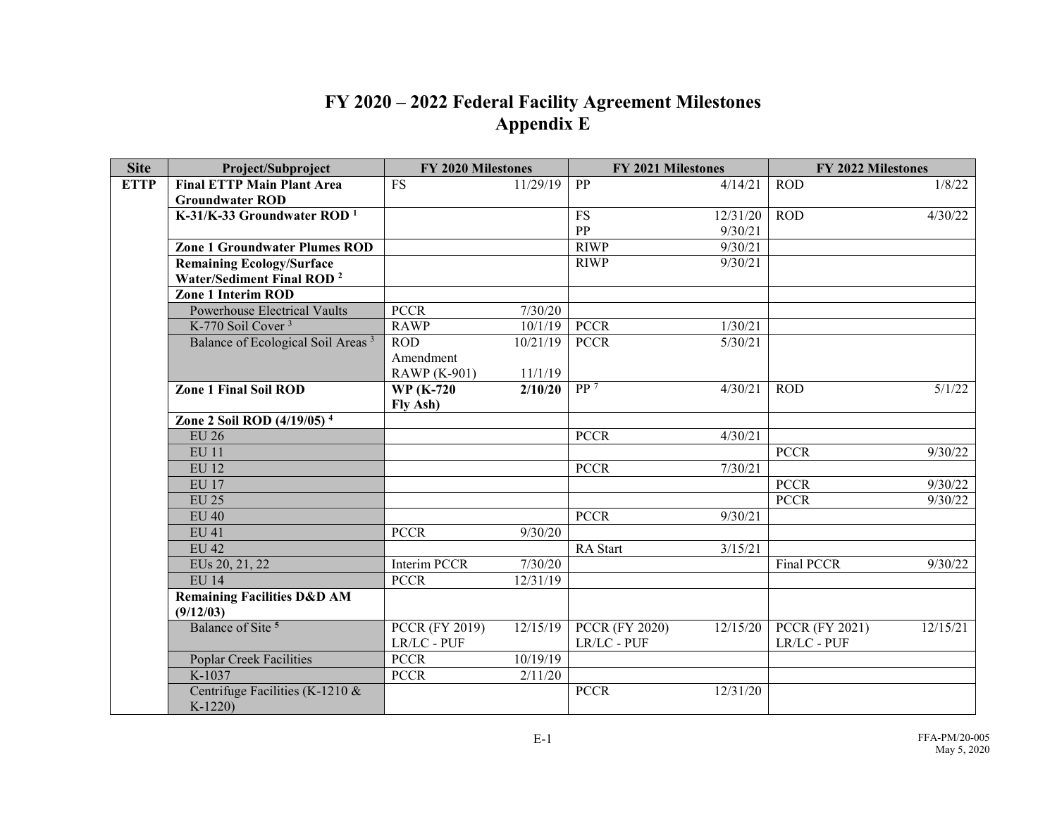## **FY 2020 – 2022 Federal Facility Agreement Milestones Appendix E**

| <b>Site</b> | Project/Subproject                            | FY 2020 Milestones    |          | <b>FY 2021 Milestones</b> |          | FY 2022 Milestones    |          |
|-------------|-----------------------------------------------|-----------------------|----------|---------------------------|----------|-----------------------|----------|
| <b>ETTP</b> | <b>Final ETTP Main Plant Area</b>             | <b>FS</b>             | 11/29/19 | PP                        | 4/14/21  | <b>ROD</b>            | 1/8/22   |
|             | <b>Groundwater ROD</b>                        |                       |          |                           |          |                       |          |
|             | K-31/K-33 Groundwater ROD <sup>1</sup>        |                       |          | <b>FS</b>                 | 12/31/20 | <b>ROD</b>            | 4/30/22  |
|             |                                               |                       |          | PP                        | 9/30/21  |                       |          |
|             | <b>Zone 1 Groundwater Plumes ROD</b>          |                       |          | <b>RIWP</b>               | 9/30/21  |                       |          |
|             | <b>Remaining Ecology/Surface</b>              |                       |          | <b>RIWP</b>               | 9/30/21  |                       |          |
|             | Water/Sediment Final ROD <sup>2</sup>         |                       |          |                           |          |                       |          |
|             | <b>Zone 1 Interim ROD</b>                     |                       |          |                           |          |                       |          |
|             | <b>Powerhouse Electrical Vaults</b>           | <b>PCCR</b>           | 7/30/20  |                           |          |                       |          |
|             | K-770 Soil Cover <sup>3</sup>                 | <b>RAWP</b>           | 10/1/19  | <b>PCCR</b>               | 1/30/21  |                       |          |
|             | Balance of Ecological Soil Areas <sup>3</sup> | <b>ROD</b>            | 10/21/19 | <b>PCCR</b>               | 5/30/21  |                       |          |
|             |                                               | Amendment             |          |                           |          |                       |          |
|             |                                               | <b>RAWP</b> (K-901)   | 11/1/19  |                           |          |                       |          |
|             | <b>Zone 1 Final Soil ROD</b>                  | <b>WP</b> (K-720)     | 2/10/20  | $\overline{PP}$ 7         | 4/30/21  | <b>ROD</b>            | 5/1/22   |
|             |                                               | Fly Ash)              |          |                           |          |                       |          |
|             | Zone 2 Soil ROD $(4/19/05)^4$                 |                       |          |                           |          |                       |          |
|             | <b>EU 26</b>                                  |                       |          | <b>PCCR</b>               | 4/30/21  |                       |          |
|             | <b>EU 11</b>                                  |                       |          |                           |          | <b>PCCR</b>           | 9/30/22  |
|             | <b>EU 12</b>                                  |                       |          | <b>PCCR</b>               | 7/30/21  |                       |          |
|             | <b>EU 17</b>                                  |                       |          |                           |          | <b>PCCR</b>           | 9/30/22  |
|             | <b>EU 25</b>                                  |                       |          |                           |          | <b>PCCR</b>           | 9/30/22  |
|             | $EU$ 40                                       |                       |          | <b>PCCR</b>               | 9/30/21  |                       |          |
|             | <b>EU 41</b>                                  | <b>PCCR</b>           | 9/30/20  |                           |          |                       |          |
|             | <b>EU 42</b>                                  |                       |          | RA Start                  | 3/15/21  |                       |          |
|             | EUs 20, 21, 22                                | <b>Interim PCCR</b>   | 7/30/20  |                           |          | <b>Final PCCR</b>     | 9/30/22  |
|             | <b>EU 14</b>                                  | <b>PCCR</b>           | 12/31/19 |                           |          |                       |          |
|             | <b>Remaining Facilities D&amp;D AM</b>        |                       |          |                           |          |                       |          |
|             | (9/12/03)                                     |                       |          |                           |          |                       |          |
|             | Balance of Site <sup>5</sup>                  | <b>PCCR (FY 2019)</b> | 12/15/19 | <b>PCCR (FY 2020)</b>     | 12/15/20 | <b>PCCR (FY 2021)</b> | 12/15/21 |
|             |                                               | LR/LC - PUF           |          | LR/LC - PUF               |          | LR/LC - PUF           |          |
|             | <b>Poplar Creek Facilities</b>                | <b>PCCR</b>           | 10/19/19 |                           |          |                       |          |
|             | K-1037                                        | <b>PCCR</b>           | 2/11/20  |                           |          |                       |          |
|             | Centrifuge Facilities (K-1210 &<br>$K-1220$   |                       |          | <b>PCCR</b>               | 12/31/20 |                       |          |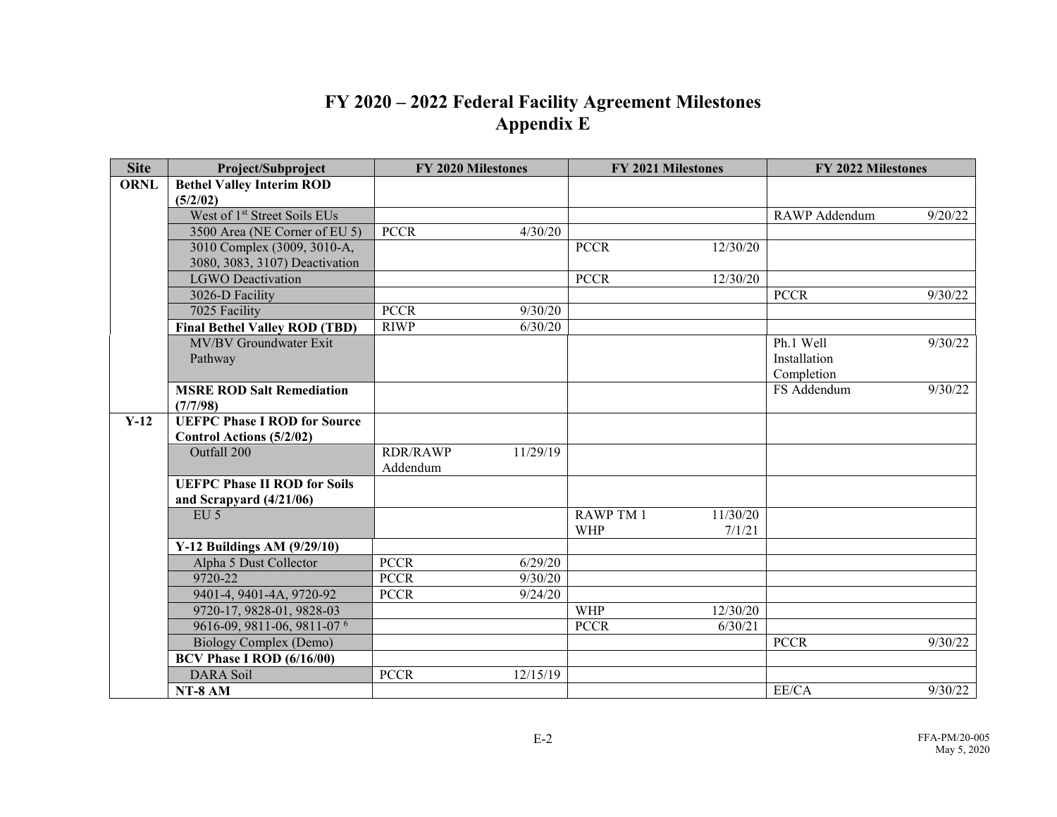## **FY 2020 – 2022 Federal Facility Agreement Milestones Appendix E**

| <b>Site</b> | Project/Subproject                       | FY 2020 Milestones      | <b>FY 2021 Milestones</b>    | FY 2022 Milestones              |  |
|-------------|------------------------------------------|-------------------------|------------------------------|---------------------------------|--|
| <b>ORNL</b> | <b>Bethel Valley Interim ROD</b>         |                         |                              |                                 |  |
|             | (5/2/02)                                 |                         |                              |                                 |  |
|             | West of 1 <sup>st</sup> Street Soils EUs |                         |                              | <b>RAWP</b> Addendum<br>9/20/22 |  |
|             | 3500 Area (NE Corner of EU 5)            | <b>PCCR</b><br>4/30/20  |                              |                                 |  |
|             | 3010 Complex (3009, 3010-A,              |                         | <b>PCCR</b><br>12/30/20      |                                 |  |
|             | 3080, 3083, 3107) Deactivation           |                         |                              |                                 |  |
|             | <b>LGWO</b> Deactivation                 |                         | <b>PCCR</b><br>12/30/20      |                                 |  |
|             | 3026-D Facility                          |                         |                              | <b>PCCR</b><br>9/30/22          |  |
|             | 7025 Facility                            | <b>PCCR</b><br>9/30/20  |                              |                                 |  |
|             | <b>Final Bethel Valley ROD (TBD)</b>     | <b>RIWP</b><br>6/30/20  |                              |                                 |  |
|             | MV/BV Groundwater Exit                   |                         |                              | Ph.1 Well<br>9/30/22            |  |
|             | Pathway                                  |                         |                              | Installation                    |  |
|             |                                          |                         |                              | Completion                      |  |
|             | <b>MSRE ROD Salt Remediation</b>         |                         |                              | FS Addendum<br>9/30/22          |  |
|             | (7/7/98)                                 |                         |                              |                                 |  |
| $Y-12$      | <b>UEFPC Phase I ROD for Source</b>      |                         |                              |                                 |  |
|             | Control Actions (5/2/02)<br>Outfall 200  | <b>RDR/RAWP</b>         |                              |                                 |  |
|             |                                          | 11/29/19<br>Addendum    |                              |                                 |  |
|             | <b>UEFPC Phase II ROD for Soils</b>      |                         |                              |                                 |  |
|             | and Scrapyard $(4/21/06)$                |                         |                              |                                 |  |
|             | $EU$ 5                                   |                         | <b>RAWP TM 1</b><br>11/30/20 |                                 |  |
|             |                                          |                         | <b>WHP</b><br>7/1/21         |                                 |  |
|             | Y-12 Buildings AM (9/29/10)              |                         |                              |                                 |  |
|             | Alpha 5 Dust Collector                   | <b>PCCR</b><br>6/29/20  |                              |                                 |  |
|             | 9720-22                                  | <b>PCCR</b><br>9/30/20  |                              |                                 |  |
|             | 9401-4, 9401-4A, 9720-92                 | <b>PCCR</b><br>9/24/20  |                              |                                 |  |
|             | 9720-17, 9828-01, 9828-03                |                         | <b>WHP</b><br>12/30/20       |                                 |  |
|             | 9616-09, 9811-06, 9811-07 6              |                         | <b>PCCR</b><br>6/30/21       |                                 |  |
|             | Biology Complex (Demo)                   |                         |                              | <b>PCCR</b><br>9/30/22          |  |
|             | <b>BCV Phase I ROD (6/16/00)</b>         |                         |                              |                                 |  |
|             | <b>DARA</b> Soil                         | <b>PCCR</b><br>12/15/19 |                              |                                 |  |
|             | NT-8 AM                                  |                         |                              | EE/CA<br>9/30/22                |  |